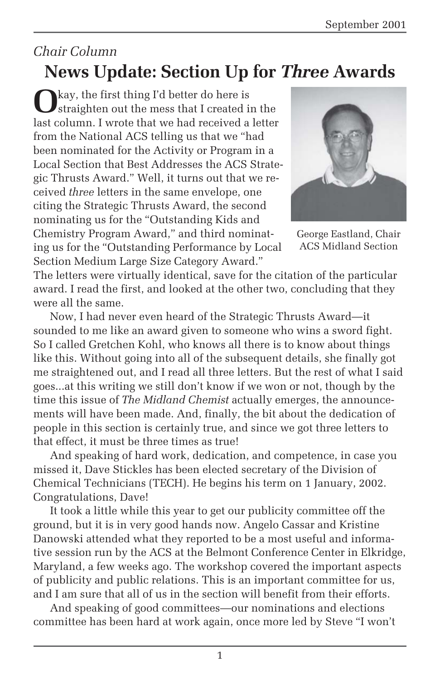### *Chair Column*

# **News Update: Section Up for** *Three* **Awards**

**O**kay, the first thing I'd better do here is straighten out the mess that I created in the last column. I wrote that we had received a letter from the National ACS telling us that we "had been nominated for the Activity or Program in a Local Section that Best Addresses the ACS Strategic Thrusts Award." Well, it turns out that we received *three* letters in the same envelope, one citing the Strategic Thrusts Award, the second nominating us for the "Outstanding Kids and Chemistry Program Award," and third nominating us for the "Outstanding Performance by Local Section Medium Large Size Category Award."



George Eastland, Chair ACS Midland Section

The letters were virtually identical, save for the citation of the particular award. I read the first, and looked at the other two, concluding that they were all the same.

Now, I had never even heard of the Strategic Thrusts Award—it sounded to me like an award given to someone who wins a sword fight. So I called Gretchen Kohl, who knows all there is to know about things like this. Without going into all of the subsequent details, she finally got me straightened out, and I read all three letters. But the rest of what I said goes...at this writing we still don't know if we won or not, though by the time this issue of *The Midland Chemist* actually emerges, the announcements will have been made. And, finally, the bit about the dedication of people in this section is certainly true, and since we got three letters to that effect, it must be three times as true!

And speaking of hard work, dedication, and competence, in case you missed it, Dave Stickles has been elected secretary of the Division of Chemical Technicians (TECH). He begins his term on 1 January, 2002. Congratulations, Dave!

It took a little while this year to get our publicity committee off the ground, but it is in very good hands now. Angelo Cassar and Kristine Danowski attended what they reported to be a most useful and informative session run by the ACS at the Belmont Conference Center in Elkridge, Maryland, a few weeks ago. The workshop covered the important aspects of publicity and public relations. This is an important committee for us, and I am sure that all of us in the section will benefit from their efforts.

And speaking of good committees—our nominations and elections committee has been hard at work again, once more led by Steve "I won't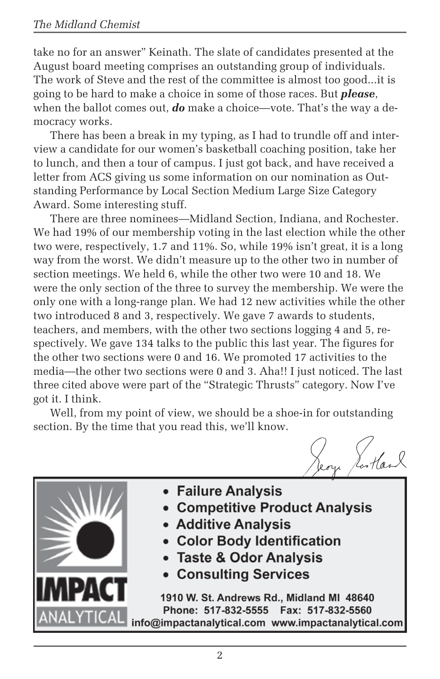take no for an answer" Keinath. The slate of candidates presented at the August board meeting comprises an outstanding group of individuals. The work of Steve and the rest of the committee is almost too good...it is going to be hard to make a choice in some of those races. But *please*, when the ballot comes out, *do* make a choice—vote. That's the way a democracy works.

There has been a break in my typing, as I had to trundle off and interview a candidate for our women's basketball coaching position, take her to lunch, and then a tour of campus. I just got back, and have received a letter from ACS giving us some information on our nomination as Outstanding Performance by Local Section Medium Large Size Category Award. Some interesting stuff.

There are three nominees—Midland Section, Indiana, and Rochester. We had 19% of our membership voting in the last election while the other two were, respectively, 1.7 and 11%. So, while 19% isn't great, it is a long way from the worst. We didn't measure up to the other two in number of section meetings. We held 6, while the other two were 10 and 18. We were the only section of the three to survey the membership. We were the only one with a long-range plan. We had 12 new activities while the other two introduced 8 and 3, respectively. We gave 7 awards to students, teachers, and members, with the other two sections logging 4 and 5, respectively. We gave 134 talks to the public this last year. The figures for the other two sections were 0 and 16. We promoted 17 activities to the media—the other two sections were 0 and 3. Aha!! I just noticed. The last three cited above were part of the "Strategic Thrusts" category. Now I've got it. I think.

Well, from my point of view, we should be a shoe-in for outstanding section. By the time that you read this, we'll know.

Scotland

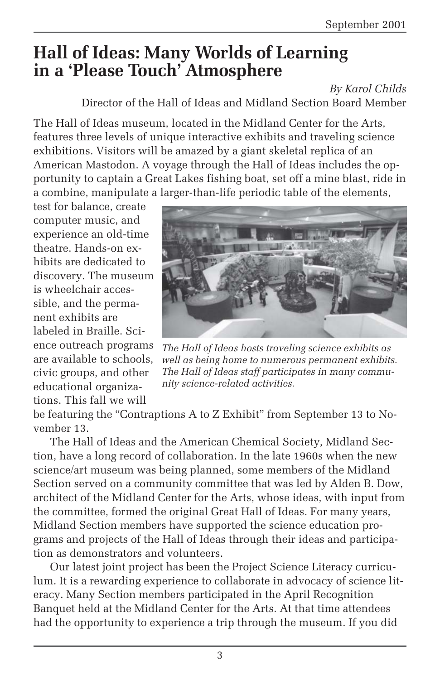## **Hall of Ideas: Many Worlds of Learning in a 'Please Touch' Atmosphere**

*By Karol Childs*

Director of the Hall of Ideas and Midland Section Board Member

The Hall of Ideas museum, located in the Midland Center for the Arts, features three levels of unique interactive exhibits and traveling science exhibitions. Visitors will be amazed by a giant skeletal replica of an American Mastodon. A voyage through the Hall of Ideas includes the opportunity to captain a Great Lakes fishing boat, set off a mine blast, ride in a combine, manipulate a larger-than-life periodic table of the elements,

test for balance, create computer music, and experience an old-time theatre. Hands-on exhibits are dedicated to discovery. The museum is wheelchair accessible, and the permanent exhibits are labeled in Braille. Science outreach programs are available to schools, civic groups, and other educational organizations. This fall we will



*The Hall of Ideas hosts traveling science exhibits as well as being home to numerous permanent exhibits. The Hall of Ideas staff participates in many community science-related activities.*

be featuring the "Contraptions A to Z Exhibit" from September 13 to November 13.

The Hall of Ideas and the American Chemical Society, Midland Section, have a long record of collaboration. In the late 1960s when the new science/art museum was being planned, some members of the Midland Section served on a community committee that was led by Alden B. Dow, architect of the Midland Center for the Arts, whose ideas, with input from the committee, formed the original Great Hall of Ideas. For many years, Midland Section members have supported the science education programs and projects of the Hall of Ideas through their ideas and participation as demonstrators and volunteers.

Our latest joint project has been the Project Science Literacy curriculum. It is a rewarding experience to collaborate in advocacy of science literacy. Many Section members participated in the April Recognition Banquet held at the Midland Center for the Arts. At that time attendees had the opportunity to experience a trip through the museum. If you did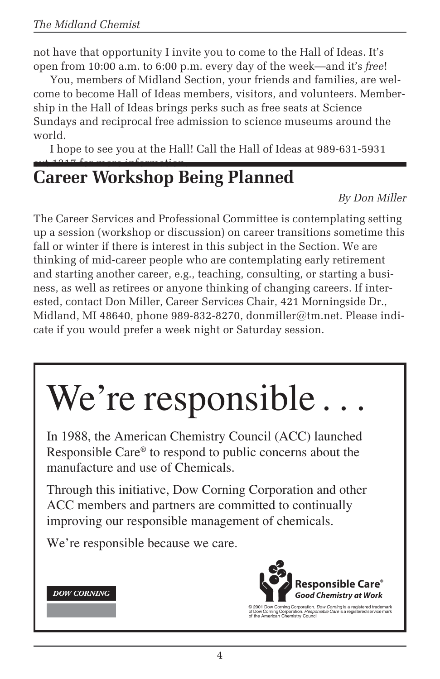not have that opportunity I invite you to come to the Hall of Ideas. It's open from 10:00 a.m. to 6:00 p.m. every day of the week—and it's *free*!

You, members of Midland Section, your friends and families, are welcome to become Hall of Ideas members, visitors, and volunteers. Membership in the Hall of Ideas brings perks such as free seats at Science Sundays and reciprocal free admission to science museums around the world.

I hope to see you at the Hall! Call the Hall of Ideas at 989-631-5931 ext.1217 for more information.

# **Career Workshop Being Planned**

#### *By Don Miller*

The Career Services and Professional Committee is contemplating setting up a session (workshop or discussion) on career transitions sometime this fall or winter if there is interest in this subject in the Section. We are thinking of mid-career people who are contemplating early retirement and starting another career, e.g., teaching, consulting, or starting a business, as well as retirees or anyone thinking of changing careers. If interested, contact Don Miller, Career Services Chair, 421 Morningside Dr., Midland, MI 48640, phone 989-832-8270, donmiller@tm.net. Please indicate if you would prefer a week night or Saturday session.

# We're responsible.

In 1988, the American Chemistry Council (ACC) launched Responsible Care® to respond to public concerns about the manufacture and use of Chemicals.

Through this initiative, Dow Corning Corporation and other ACC members and partners are committed to continually improving our responsible management of chemicals.

We're responsible because we care.





© 2001 Dow Corning Corporation. *Dow Corning* is a registered trademark<br>of Dow Corning Corporation. *Responsible Care* is a registered service mark<br>of the American Chemistry Council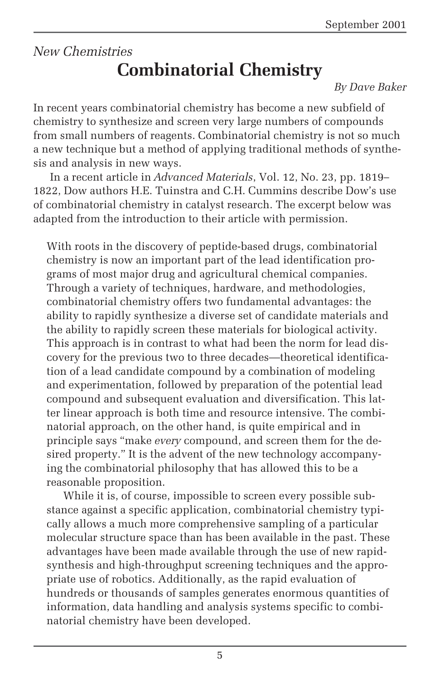### *New Chemistries* **Combinatorial Chemistry**

*By Dave Baker*

In recent years combinatorial chemistry has become a new subfield of chemistry to synthesize and screen very large numbers of compounds from small numbers of reagents. Combinatorial chemistry is not so much a new technique but a method of applying traditional methods of synthesis and analysis in new ways.

In a recent article in *Advanced Materials*, Vol. 12, No. 23, pp. 1819– 1822, Dow authors H.E. Tuinstra and C.H. Cummins describe Dow's use of combinatorial chemistry in catalyst research. The excerpt below was adapted from the introduction to their article with permission.

With roots in the discovery of peptide-based drugs, combinatorial chemistry is now an important part of the lead identification programs of most major drug and agricultural chemical companies. Through a variety of techniques, hardware, and methodologies, combinatorial chemistry offers two fundamental advantages: the ability to rapidly synthesize a diverse set of candidate materials and the ability to rapidly screen these materials for biological activity. This approach is in contrast to what had been the norm for lead discovery for the previous two to three decades—theoretical identification of a lead candidate compound by a combination of modeling and experimentation, followed by preparation of the potential lead compound and subsequent evaluation and diversification. This latter linear approach is both time and resource intensive. The combinatorial approach, on the other hand, is quite empirical and in principle says "make *every* compound, and screen them for the desired property." It is the advent of the new technology accompanying the combinatorial philosophy that has allowed this to be a reasonable proposition.

While it is, of course, impossible to screen every possible substance against a specific application, combinatorial chemistry typically allows a much more comprehensive sampling of a particular molecular structure space than has been available in the past. These advantages have been made available through the use of new rapidsynthesis and high-throughput screening techniques and the appropriate use of robotics. Additionally, as the rapid evaluation of hundreds or thousands of samples generates enormous quantities of information, data handling and analysis systems specific to combinatorial chemistry have been developed.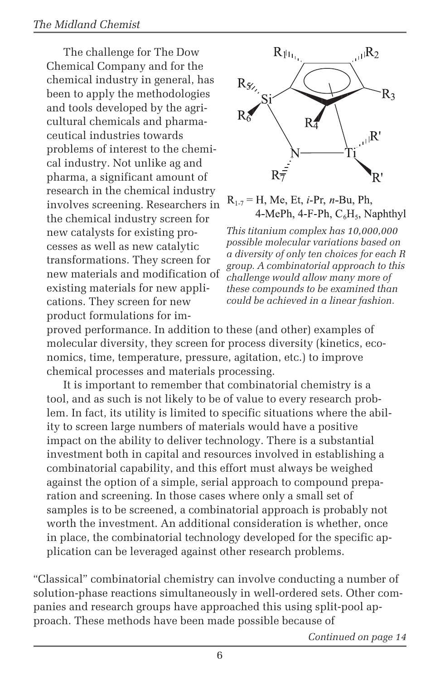The challenge for The Dow Chemical Company and for the chemical industry in general, has been to apply the methodologies and tools developed by the agricultural chemicals and pharmaceutical industries towards problems of interest to the chemical industry. Not unlike ag and pharma, a significant amount of research in the chemical industry involves screening. Researchers in the chemical industry screen for new catalysts for existing processes as well as new catalytic transformations. They screen for new materials and modification of existing materials for new applications. They screen for new product formulations for im-



 $R_{1.7}$  = H, Me, Et, *i*-Pr, *n*-Bu, Ph, 4-MePh, 4-F-Ph,  $C_6H_5$ , Naphthyl

*This titanium complex has 10,000,000 possible molecular variations based on a diversity of only ten choices for each R group. A combinatorial approach to this challenge would allow many more of these compounds to be examined than could be achieved in a linear fashion.*

proved performance. In addition to these (and other) examples of molecular diversity, they screen for process diversity (kinetics, economics, time, temperature, pressure, agitation, etc.) to improve chemical processes and materials processing.

It is important to remember that combinatorial chemistry is a tool, and as such is not likely to be of value to every research problem. In fact, its utility is limited to specific situations where the ability to screen large numbers of materials would have a positive impact on the ability to deliver technology. There is a substantial investment both in capital and resources involved in establishing a combinatorial capability, and this effort must always be weighed against the option of a simple, serial approach to compound preparation and screening. In those cases where only a small set of samples is to be screened, a combinatorial approach is probably not worth the investment. An additional consideration is whether, once in place, the combinatorial technology developed for the specific application can be leveraged against other research problems.

"Classical" combinatorial chemistry can involve conducting a number of solution-phase reactions simultaneously in well-ordered sets. Other companies and research groups have approached this using split-pool approach. These methods have been made possible because of

*Continued on page 14*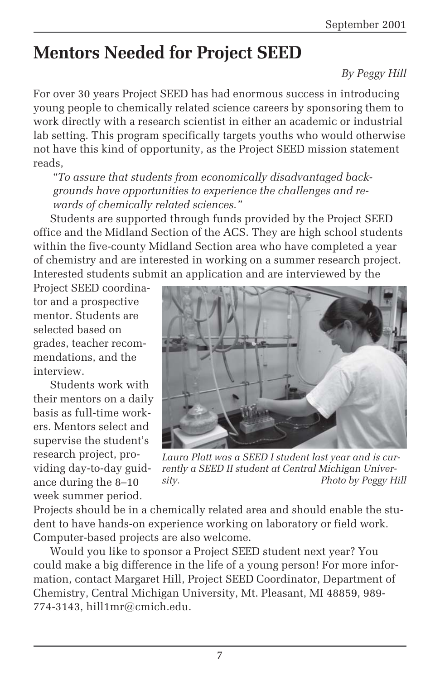# **Mentors Needed for Project SEED**

#### *By Peggy Hill*

For over 30 years Project SEED has had enormous success in introducing young people to chemically related science careers by sponsoring them to work directly with a research scientist in either an academic or industrial lab setting. This program specifically targets youths who would otherwise not have this kind of opportunity, as the Project SEED mission statement reads,

"*To assure that students from economically disadvantaged backgrounds have opportunities to experience the challenges and rewards of chemically related sciences."*

Students are supported through funds provided by the Project SEED office and the Midland Section of the ACS. They are high school students within the five-county Midland Section area who have completed a year of chemistry and are interested in working on a summer research project. Interested students submit an application and are interviewed by the

Project SEED coordinator and a prospective mentor. Students are selected based on grades, teacher recommendations, and the interview.

Students work with their mentors on a daily basis as full-time workers. Mentors select and supervise the student's research project, providing day-to-day guidance during the 8–10 week summer period.



*Laura Platt was a SEED I student last year and is currently a SEED II student at Central Michigan University. Photo by Peggy Hill*

Projects should be in a chemically related area and should enable the student to have hands-on experience working on laboratory or field work. Computer-based projects are also welcome.

Would you like to sponsor a Project SEED student next year? You could make a big difference in the life of a young person! For more information, contact Margaret Hill, Project SEED Coordinator, Department of Chemistry, Central Michigan University, Mt. Pleasant, MI 48859, 989- 774-3143, hill1mr@cmich.edu.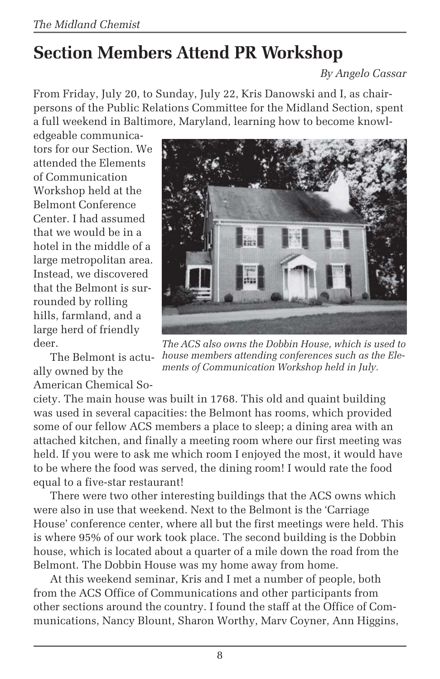# **Section Members Attend PR Workshop**

*By Angelo Cassar*

From Friday, July 20, to Sunday, July 22, Kris Danowski and I, as chairpersons of the Public Relations Committee for the Midland Section, spent a full weekend in Baltimore, Maryland, learning how to become knowl-

edgeable communicators for our Section. We attended the Elements of Communication Workshop held at the Belmont Conference Center. I had assumed that we would be in a hotel in the middle of a large metropolitan area. Instead, we discovered that the Belmont is surrounded by rolling hills, farmland, and a large herd of friendly deer.

The Belmont is actually owned by the American Chemical So-



*The ACS also owns the Dobbin House, which is used to house members attending conferences such as the Elements of Communication Workshop held in July.*

ciety. The main house was built in 1768. This old and quaint building was used in several capacities: the Belmont has rooms, which provided some of our fellow ACS members a place to sleep; a dining area with an attached kitchen, and finally a meeting room where our first meeting was held. If you were to ask me which room I enjoyed the most, it would have to be where the food was served, the dining room! I would rate the food equal to a five-star restaurant!

There were two other interesting buildings that the ACS owns which were also in use that weekend. Next to the Belmont is the 'Carriage House' conference center, where all but the first meetings were held. This is where 95% of our work took place. The second building is the Dobbin house, which is located about a quarter of a mile down the road from the Belmont. The Dobbin House was my home away from home.

At this weekend seminar, Kris and I met a number of people, both from the ACS Office of Communications and other participants from other sections around the country. I found the staff at the Office of Communications, Nancy Blount, Sharon Worthy, Marv Coyner, Ann Higgins,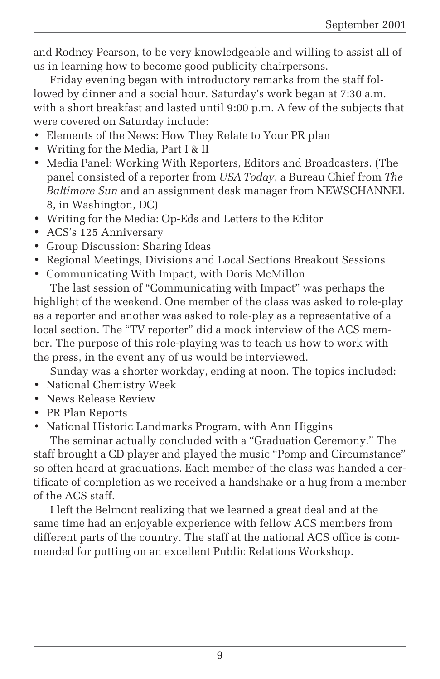and Rodney Pearson, to be very knowledgeable and willing to assist all of us in learning how to become good publicity chairpersons.

Friday evening began with introductory remarks from the staff followed by dinner and a social hour. Saturday's work began at 7:30 a.m. with a short breakfast and lasted until 9:00 p.m. A few of the subjects that were covered on Saturday include:

- Elements of the News: How They Relate to Your PR plan
- Writing for the Media, Part I & II
- Media Panel: Working With Reporters, Editors and Broadcasters. (The panel consisted of a reporter from *USA Today*, a Bureau Chief from *The Baltimore Sun* and an assignment desk manager from NEWSCHANNEL 8, in Washington, DC)
- Writing for the Media: Op-Eds and Letters to the Editor
- ACS's 125 Anniversary
- Group Discussion: Sharing Ideas
- Regional Meetings, Divisions and Local Sections Breakout Sessions
- Communicating With Impact, with Doris McMillon

The last session of "Communicating with Impact" was perhaps the highlight of the weekend. One member of the class was asked to role-play as a reporter and another was asked to role-play as a representative of a local section. The "TV reporter" did a mock interview of the ACS member. The purpose of this role-playing was to teach us how to work with the press, in the event any of us would be interviewed.

Sunday was a shorter workday, ending at noon. The topics included:

- National Chemistry Week
- News Release Review
- PR Plan Reports
- National Historic Landmarks Program, with Ann Higgins

The seminar actually concluded with a "Graduation Ceremony." The staff brought a CD player and played the music "Pomp and Circumstance" so often heard at graduations. Each member of the class was handed a certificate of completion as we received a handshake or a hug from a member of the ACS staff.

I left the Belmont realizing that we learned a great deal and at the same time had an enjoyable experience with fellow ACS members from different parts of the country. The staff at the national ACS office is commended for putting on an excellent Public Relations Workshop.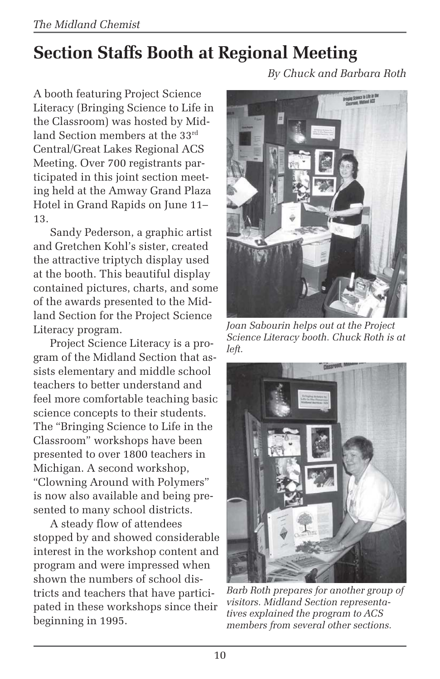# **Section Staffs Booth at Regional Meeting**

*By Chuck and Barbara Roth*

A booth featuring Project Science Literacy (Bringing Science to Life in the Classroom) was hosted by Midland Section members at the 33rd Central/Great Lakes Regional ACS Meeting. Over 700 registrants participated in this joint section meeting held at the Amway Grand Plaza Hotel in Grand Rapids on June 11– 13.

Sandy Pederson, a graphic artist and Gretchen Kohl's sister, created the attractive triptych display used at the booth. This beautiful display contained pictures, charts, and some of the awards presented to the Midland Section for the Project Science Literacy program.

Project Science Literacy is a program of the Midland Section that assists elementary and middle school teachers to better understand and feel more comfortable teaching basic science concepts to their students. The "Bringing Science to Life in the Classroom" workshops have been presented to over 1800 teachers in Michigan. A second workshop, "Clowning Around with Polymers" is now also available and being presented to many school districts.

A steady flow of attendees stopped by and showed considerable interest in the workshop content and program and were impressed when shown the numbers of school districts and teachers that have participated in these workshops since their beginning in 1995.



*Joan Sabourin helps out at the Project Science Literacy booth. Chuck Roth is at left.*



*Barb Roth prepares for another group of visitors. Midland Section representatives explained the program to ACS members from several other sections.*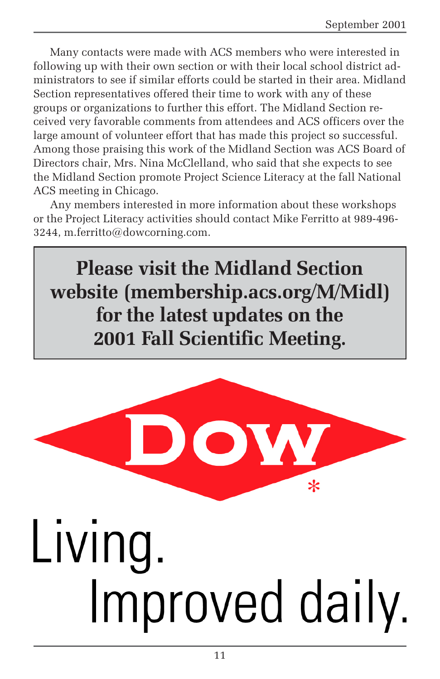Many contacts were made with ACS members who were interested in following up with their own section or with their local school district administrators to see if similar efforts could be started in their area. Midland Section representatives offered their time to work with any of these groups or organizations to further this effort. The Midland Section received very favorable comments from attendees and ACS officers over the large amount of volunteer effort that has made this project so successful. Among those praising this work of the Midland Section was ACS Board of Directors chair, Mrs. Nina McClelland, who said that she expects to see the Midland Section promote Project Science Literacy at the fall National ACS meeting in Chicago.

Any members interested in more information about these workshops or the Project Literacy activities should contact Mike Ferritto at 989-496- 3244, m.ferritto@dowcorning.com.

**Please visit the Midland Section website (membership.acs.org/M/Midl) for the latest updates on the 2001 Fall Scientific Meeting.**

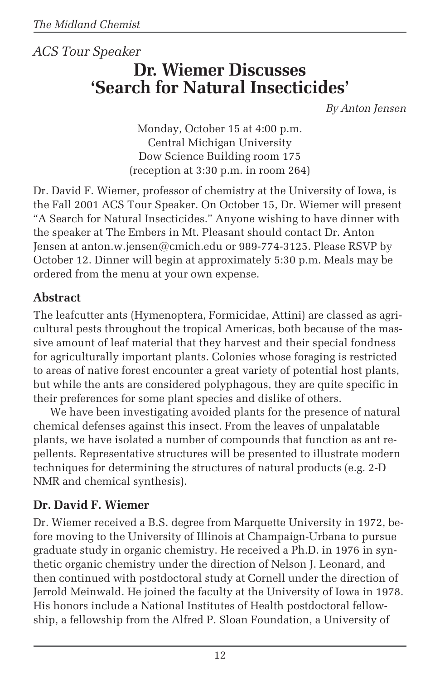#### *ACS Tour Speaker* **Dr. Wiemer Discusses 'Search for Natural Insecticides'**

*By Anton Jensen*

Monday, October 15 at 4:00 p.m. Central Michigan University Dow Science Building room 175 (reception at 3:30 p.m. in room 264)

Dr. David F. Wiemer, professor of chemistry at the University of Iowa, is the Fall 2001 ACS Tour Speaker. On October 15, Dr. Wiemer will present "A Search for Natural Insecticides." Anyone wishing to have dinner with the speaker at The Embers in Mt. Pleasant should contact Dr. Anton Jensen at anton.w.jensen@cmich.edu or 989-774-3125. Please RSVP by October 12. Dinner will begin at approximately 5:30 p.m. Meals may be ordered from the menu at your own expense.

#### **Abstract**

The leafcutter ants (Hymenoptera, Formicidae, Attini) are classed as agricultural pests throughout the tropical Americas, both because of the massive amount of leaf material that they harvest and their special fondness for agriculturally important plants. Colonies whose foraging is restricted to areas of native forest encounter a great variety of potential host plants, but while the ants are considered polyphagous, they are quite specific in their preferences for some plant species and dislike of others.

We have been investigating avoided plants for the presence of natural chemical defenses against this insect. From the leaves of unpalatable plants, we have isolated a number of compounds that function as ant repellents. Representative structures will be presented to illustrate modern techniques for determining the structures of natural products (e.g. 2-D NMR and chemical synthesis).

#### **Dr. David F. Wiemer**

Dr. Wiemer received a B.S. degree from Marquette University in 1972, before moving to the University of Illinois at Champaign-Urbana to pursue graduate study in organic chemistry. He received a Ph.D. in 1976 in synthetic organic chemistry under the direction of Nelson J. Leonard, and then continued with postdoctoral study at Cornell under the direction of Jerrold Meinwald. He joined the faculty at the University of Iowa in 1978. His honors include a National Institutes of Health postdoctoral fellowship, a fellowship from the Alfred P. Sloan Foundation, a University of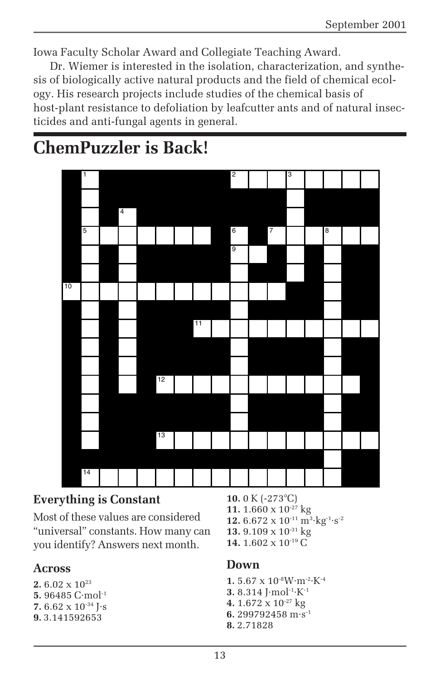Iowa Faculty Scholar Award and Collegiate Teaching Award.

Dr. Wiemer is interested in the isolation, characterization, and synthesis of biologically active natural products and the field of chemical ecology. His research projects include studies of the chemical basis of host-plant resistance to defoliation by leafcutter ants and of natural insecticides and anti-fungal agents in general.

### **ChemPuzzler is Back!**



#### **Everything is Constant**

Most of these values are considered "universal" constants. How many can you identify? Answers next month.

#### **Across**

**2.** 6.02 x 1023 **5.** 96485 C·mol-1 **7.** 6.62 x 10-34 J·s **9.** 3.141592653

**10.** 0 K (-273°C) **11.** 1.660 x 10-27 kg **12.** 6.672 x  $10^{-11}$  m<sup>3</sup>·kg<sup>-1</sup>·s<sup>-2</sup> **13.** 9.109 x 10-31 kg **14.** 1.602 x 10-19 C

#### **Down**

**1.** 5.67 x 10-8W·m-2·K-4 **3.** 8.314 J·mol-1·K-1 **4.** 1.672 x 10-27 kg

- **6.** 299792458 m·s-1
- **8.** 2.71828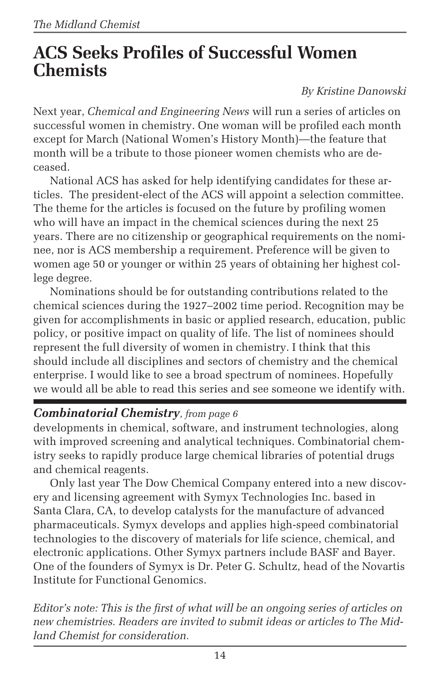## **ACS Seeks Profiles of Successful Women Chemists**

#### *By Kristine Danowski*

Next year, *Chemical and Engineering News* will run a series of articles on successful women in chemistry. One woman will be profiled each month except for March (National Women's History Month)—the feature that month will be a tribute to those pioneer women chemists who are deceased.

National ACS has asked for help identifying candidates for these articles. The president-elect of the ACS will appoint a selection committee. The theme for the articles is focused on the future by profiling women who will have an impact in the chemical sciences during the next 25 years. There are no citizenship or geographical requirements on the nominee, nor is ACS membership a requirement. Preference will be given to women age 50 or younger or within 25 years of obtaining her highest college degree.

Nominations should be for outstanding contributions related to the chemical sciences during the 1927–2002 time period. Recognition may be given for accomplishments in basic or applied research, education, public policy, or positive impact on quality of life. The list of nominees should represent the full diversity of women in chemistry. I think that this should include all disciplines and sectors of chemistry and the chemical enterprise. I would like to see a broad spectrum of nominees. Hopefully we would all be able to read this series and see someone we identify with.

#### *Combinatorial Chemistry, from page 6*

developments in chemical, software, and instrument technologies, along with improved screening and analytical techniques. Combinatorial chemistry seeks to rapidly produce large chemical libraries of potential drugs and chemical reagents.

Only last year The Dow Chemical Company entered into a new discovery and licensing agreement with Symyx Technologies Inc. based in Santa Clara, CA, to develop catalysts for the manufacture of advanced pharmaceuticals. Symyx develops and applies high-speed combinatorial technologies to the discovery of materials for life science, chemical, and electronic applications. Other Symyx partners include BASF and Bayer. One of the founders of Symyx is Dr. Peter G. Schultz, head of the Novartis Institute for Functional Genomics.

*Editor's note: This is the first of what will be an ongoing series of articles on new chemistries. Readers are invited to submit ideas or articles to The Midland Chemist for consideration.*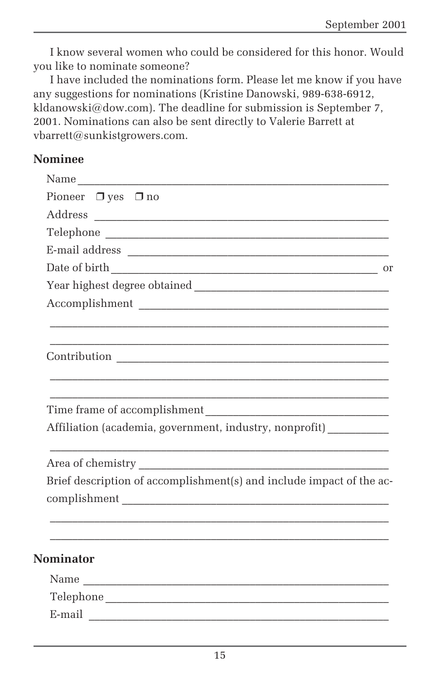I know several women who could be considered for this honor. Would you like to nominate someone?

I have included the nominations form. Please let me know if you have any suggestions for nominations (Kristine Danowski, 989-638-6912, kldanowski@dow.com). The deadline for submission is September 7, 2001. Nominations can also be sent directly to Valerie Barrett at vbarrett@sunkistgrowers.com.

#### **Nominee**

| Name                                                                                                                                                                                    |  |
|-----------------------------------------------------------------------------------------------------------------------------------------------------------------------------------------|--|
| Pioneer $\Box$ yes $\Box$ no                                                                                                                                                            |  |
|                                                                                                                                                                                         |  |
|                                                                                                                                                                                         |  |
|                                                                                                                                                                                         |  |
|                                                                                                                                                                                         |  |
|                                                                                                                                                                                         |  |
|                                                                                                                                                                                         |  |
|                                                                                                                                                                                         |  |
|                                                                                                                                                                                         |  |
|                                                                                                                                                                                         |  |
| Affiliation (academia, government, industry, nonprofit) __________                                                                                                                      |  |
|                                                                                                                                                                                         |  |
| Brief description of accomplishment(s) and include impact of the ac-<br>complishment communications of the communication of the communication of the communication of the communication |  |
|                                                                                                                                                                                         |  |
| <b>Nominator</b>                                                                                                                                                                        |  |
|                                                                                                                                                                                         |  |
|                                                                                                                                                                                         |  |
|                                                                                                                                                                                         |  |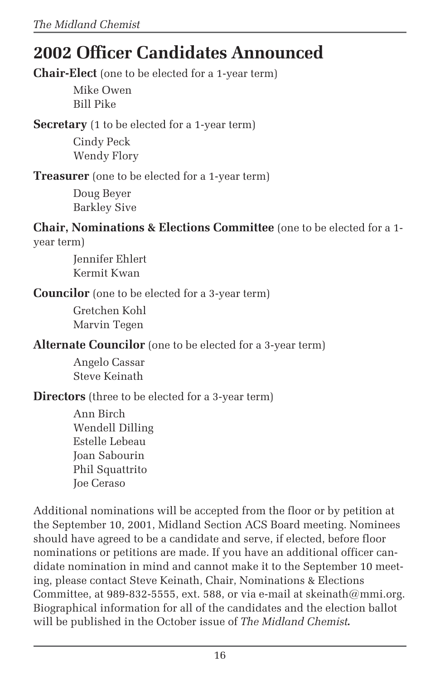# **2002 Officer Candidates Announced**

**Chair-Elect** (one to be elected for a 1-year term)

Mike Owen Bill Pike

**Secretary** (1 to be elected for a 1-year term)

Cindy Peck Wendy Flory

**Treasurer** (one to be elected for a 1-year term)

Doug Beyer Barkley Sive

#### **Chair, Nominations & Elections Committee** (one to be elected for a 1 year term)

Jennifer Ehlert Kermit Kwan

**Councilor** (one to be elected for a 3-year term)

Gretchen Kohl Marvin Tegen

**Alternate Councilor** (one to be elected for a 3-year term)

Angelo Cassar Steve Keinath

**Directors** (three to be elected for a 3-year term)

Ann Birch Wendell Dilling Estelle Lebeau Joan Sabourin Phil Squattrito Joe Ceraso

Additional nominations will be accepted from the floor or by petition at the September 10, 2001, Midland Section ACS Board meeting. Nominees should have agreed to be a candidate and serve, if elected, before floor nominations or petitions are made. If you have an additional officer candidate nomination in mind and cannot make it to the September 10 meeting, please contact Steve Keinath, Chair, Nominations & Elections Committee, at 989-832-5555, ext. 588, or via e-mail at skeinath@mmi.org. Biographical information for all of the candidates and the election ballot will be published in the October issue of *The Midland Chemist.*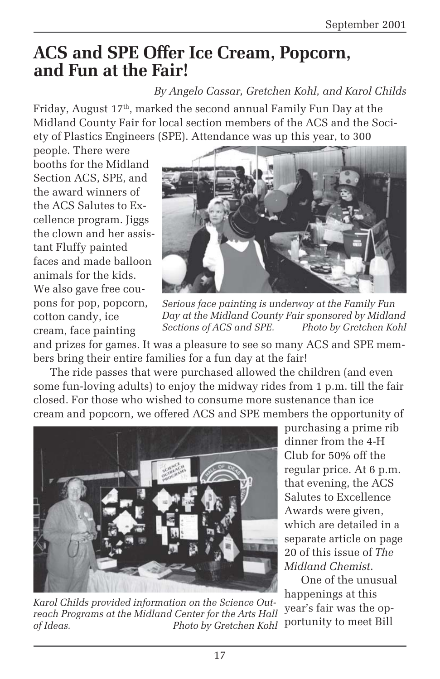### **ACS and SPE Offer Ice Cream, Popcorn, and Fun at the Fair!**

#### *By Angelo Cassar, Gretchen Kohl, and Karol Childs*

Friday, August  $17<sup>th</sup>$ , marked the second annual Family Fun Day at the Midland County Fair for local section members of the ACS and the Society of Plastics Engineers (SPE). Attendance was up this year, to 300

people. There were booths for the Midland Section ACS, SPE, and the award winners of the ACS Salutes to Excellence program. Jiggs the clown and her assistant Fluffy painted faces and made balloon animals for the kids. We also gave free coupons for pop, popcorn, cotton candy, ice cream, face painting



*Serious face painting is underway at the Family Fun Day at the Midland County Fair sponsored by Midland*  $Sections$  of ACS and SPE.

and prizes for games. It was a pleasure to see so many ACS and SPE members bring their entire families for a fun day at the fair!

The ride passes that were purchased allowed the children (and even some fun-loving adults) to enjoy the midway rides from 1 p.m. till the fair closed. For those who wished to consume more sustenance than ice cream and popcorn, we offered ACS and SPE members the opportunity of



*Karol Childs provided information on the Science Outreach Programs at the Midland Center for the Arts Hall of Ideas. Photo by Gretchen Kohl*

purchasing a prime rib dinner from the 4-H Club for 50% off the regular price. At 6 p.m. that evening, the ACS Salutes to Excellence Awards were given, which are detailed in a separate article on page 20 of this issue of *The Midland Chemist*.

One of the unusual happenings at this year's fair was the opportunity to meet Bill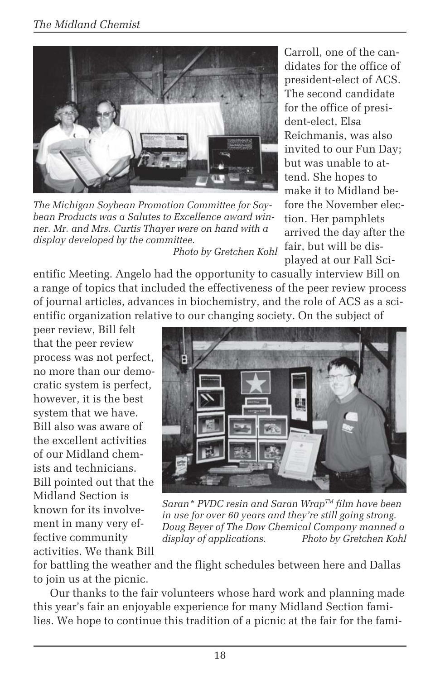

*The Michigan Soybean Promotion Committee for Soybean Products was a Salutes to Excellence award winner. Mr. and Mrs. Curtis Thayer were on hand with a display developed by the committee. Photo by Gretchen Kohl*

Carroll, one of the candidates for the office of president-elect of ACS. The second candidate for the office of president-elect, Elsa Reichmanis, was also invited to our Fun Day; but was unable to attend. She hopes to make it to Midland before the November election. Her pamphlets arrived the day after the fair, but will be displayed at our Fall Sci-

entific Meeting. Angelo had the opportunity to casually interview Bill on a range of topics that included the effectiveness of the peer review process of journal articles, advances in biochemistry, and the role of ACS as a scientific organization relative to our changing society. On the subject of

peer review, Bill felt that the peer review process was not perfect, no more than our democratic system is perfect, however, it is the best system that we have. Bill also was aware of the excellent activities of our Midland chemists and technicians. Bill pointed out that the Midland Section is known for its involvement in many very effective community activities. We thank Bill



*Saran\* PVDC resin and Saran WrapTM film have been in use for over 60 years and they're still going strong. Doug Beyer of The Dow Chemical Company manned a display of applications. Photo by Gretchen Kohl*

for battling the weather and the flight schedules between here and Dallas to join us at the picnic.

Our thanks to the fair volunteers whose hard work and planning made this year's fair an enjoyable experience for many Midland Section families. We hope to continue this tradition of a picnic at the fair for the fami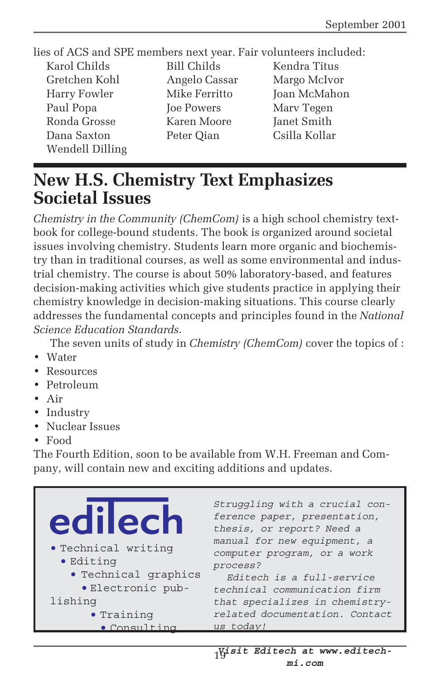lies of ACS and SPE members next year. Fair volunteers included: Karol Childs Bill Childs Kendra Titus Gretchen Kohl Angelo Cassar Margo McIvor Harry Fowler Mike Ferritto Joan McMahon Paul Popa Joe Powers Marv Tegen Ronda Grosse Karen Moore Janet Smith Dana Saxton Peter Qian Csilla Kollar Wendell Dilling

### **New H.S. Chemistry Text Emphasizes Societal Issues**

*Chemistry in the Community (ChemCom)* is a high school chemistry textbook for college-bound students. The book is organized around societal issues involving chemistry. Students learn more organic and biochemistry than in traditional courses, as well as some environmental and industrial chemistry. The course is about 50% laboratory-based, and features decision-making activities which give students practice in applying their chemistry knowledge in decision-making situations. This course clearly addresses the fundamental concepts and principles found in the *National Science Education Standards*.

The seven units of study in *Chemistry (ChemCom)* cover the topics of :

- Water
- Resources
- Petroleum
- Air
- Industry
- Nuclear Issues
- Food

The Fourth Edition, soon to be available from W.H. Freeman and Company, will contain new and exciting additions and updates.

| edilech<br>. Technical writing<br>• Editing<br>· Technical graphics<br>· Electronic pub-<br>lishing<br>• Training | Struggling with a crucial con-<br>ference paper, presentation,<br>thesis, or report? Need a<br>manual for new equipment, a<br>computer program, or a work<br>process?<br>Editech is a full-service<br>technical communication firm<br>that specializes in chemistry-<br>related documentation. Contact |
|-------------------------------------------------------------------------------------------------------------------|--------------------------------------------------------------------------------------------------------------------------------------------------------------------------------------------------------------------------------------------------------------------------------------------------------|
| · Consulting                                                                                                      | us today!                                                                                                                                                                                                                                                                                              |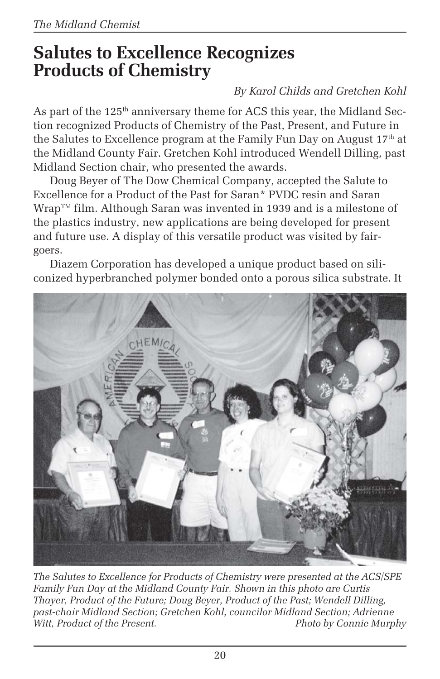### **Salutes to Excellence Recognizes Products of Chemistry**

#### *By Karol Childs and Gretchen Kohl*

As part of the 125<sup>th</sup> anniversary theme for ACS this year, the Midland Section recognized Products of Chemistry of the Past, Present, and Future in the Salutes to Excellence program at the Family Fun Day on August 17<sup>th</sup> at the Midland County Fair. Gretchen Kohl introduced Wendell Dilling, past Midland Section chair, who presented the awards.

Doug Beyer of The Dow Chemical Company, accepted the Salute to Excellence for a Product of the Past for Saran\* PVDC resin and Saran  $W$ rap $^{TM}$  film. Although Saran was invented in 1939 and is a milestone of the plastics industry, new applications are being developed for present and future use. A display of this versatile product was visited by fairgoers.

Diazem Corporation has developed a unique product based on siliconized hyperbranched polymer bonded onto a porous silica substrate. It



*The Salutes to Excellence for Products of Chemistry were presented at the ACS/SPE Family Fun Day at the Midland County Fair. Shown in this photo are Curtis Thayer, Product of the Future; Doug Beyer, Product of the Past; Wendell Dilling, past-chair Midland Section; Gretchen Kohl, councilor Midland Section; Adrienne Witt, Product of the Present. Photo by Connie Murphy*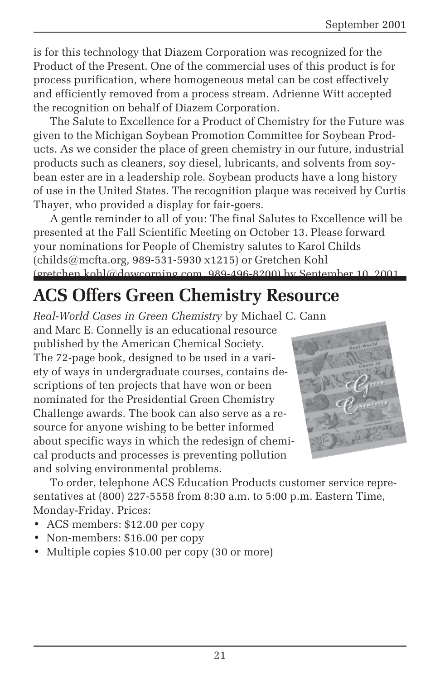is for this technology that Diazem Corporation was recognized for the Product of the Present. One of the commercial uses of this product is for process purification, where homogeneous metal can be cost effectively and efficiently removed from a process stream. Adrienne Witt accepted the recognition on behalf of Diazem Corporation.

The Salute to Excellence for a Product of Chemistry for the Future was given to the Michigan Soybean Promotion Committee for Soybean Products. As we consider the place of green chemistry in our future, industrial products such as cleaners, soy diesel, lubricants, and solvents from soybean ester are in a leadership role. Soybean products have a long history of use in the United States. The recognition plaque was received by Curtis Thayer, who provided a display for fair-goers.

A gentle reminder to all of you: The final Salutes to Excellence will be presented at the Fall Scientific Meeting on October 13. Please forward your nominations for People of Chemistry salutes to Karol Childs  $\left($ childs@mcfta.org, 989-531-5930 x1215 $\right)$  or Gretchen Kohl (gretchen.kohl@dowcorning.com, 989-496-8200) by September 10, 2001.

# **ACS Offers Green Chemistry Resource**

*Real-World Cases in Green Chemistry* by Michael C. Cann and Marc E. Connelly is an educational resource published by the American Chemical Society. The 72-page book, designed to be used in a variety of ways in undergraduate courses, contains descriptions of ten projects that have won or been nominated for the Presidential Green Chemistry Challenge awards. The book can also serve as a resource for anyone wishing to be better informed about specific ways in which the redesign of chemical products and processes is preventing pollution and solving environmental problems.



To order, telephone ACS Education Products customer service representatives at (800) 227-5558 from 8:30 a.m. to 5:00 p.m. Eastern Time, Monday-Friday. Prices:

- ACS members: \$12.00 per copy
- Non-members: \$16.00 per copy
- Multiple copies \$10.00 per copy (30 or more)